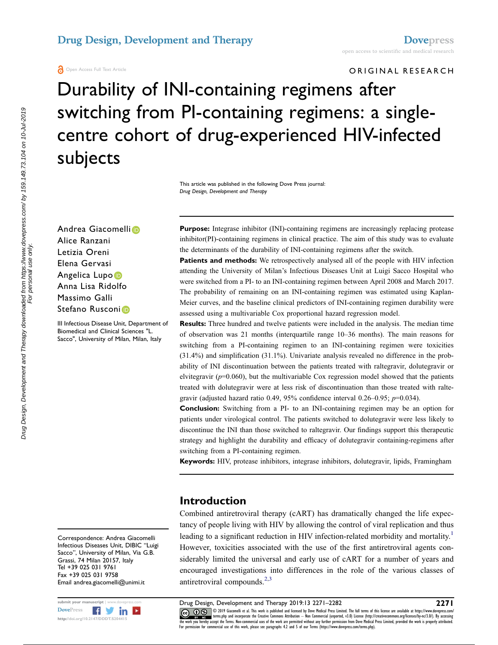ORIGINAL RESEARCH

# Durability of INI-containing regimens after switching from PI-containing regimens: a singlecentre cohort of drug-experienced HIV-infected subjects

This article was published in the following Dove Press journal: Drug Design, Development and Therapy

Andrea Giacomelli<sup>n</sup> Alice Ranzani Letizia Oreni Elena Gervasi Angelica Lupo Anna Lisa Ridolfo Massimo Galli Stefano Rusconi<sup>D</sup>

III Infectious Disease Unit, Department of Biomedical and Clinical Sciences "L. Sacco", University of Milan, Milan, Italy

Correspondence: Andrea Giacomelli Infectious Diseases Unit, DIBIC "Luigi Sacco", University of Milan, Via G.B. Grassi, 74 Milan 20157, Italy Tel +39 025 031 9761 Fax +39 025 031 9758 Email andrea.giacomelli@unimi.it



Purpose: Integrase inhibitor (INI)-containing regimens are increasingly replacing protease inhibitor(PI)-containing regimens in clinical practice. The aim of this study was to evaluate the determinants of the durability of INI-containing regimens after the switch.

Patients and methods: We retrospectively analysed all of the people with HIV infection attending the University of Milan's Infectious Diseases Unit at Luigi Sacco Hospital who were switched from a PI- to an INI-containing regimen between April 2008 and March 2017. The probability of remaining on an INI-containing regimen was estimated using Kaplan-Meier curves, and the baseline clinical predictors of INI-containing regimen durability were assessed using a multivariable Cox proportional hazard regression model.

Results: Three hundred and twelve patients were included in the analysis. The median time of observation was 21 months (interquartile range 10–36 months). The main reasons for switching from a PI-containing regimen to an INI-containing regimen were toxicities (31.4%) and simplification (31.1%). Univariate analysis revealed no difference in the probability of INI discontinuation between the patients treated with raltegravir, dolutegravir or elvitegravir ( $p=0.060$ ), but the multivariable Cox regression model showed that the patients treated with dolutegravir were at less risk of discontinuation than those treated with raltegravir (adjusted hazard ratio 0.49, 95% confidence interval 0.26-0.95;  $p=0.034$ ).

Conclusion: Switching from a PI- to an INI-containing regimen may be an option for patients under virological control. The patients switched to dolutegravir were less likely to discontinue the INI than those switched to raltegravir. Our findings support this therapeutic strategy and highlight the durability and efficacy of dolutegravir containing-regimens after switching from a PI-containing regimen.

Keywords: HIV, protease inhibitors, integrase inhibitors, dolutegravir, lipids, Framingham

## Introduction

<span id="page-0-1"></span><span id="page-0-0"></span>Combined antiretroviral therapy (cART) has dramatically changed the life expectancy of people living with HIV by allowing the control of viral replication and thus leading to a significant reduction in HIV infection-related morbidity and mortality.<sup>1</sup> However, toxicities associated with the use of the first antiretroviral agents considerably limited the universal and early use of cART for a number of years and encouraged investigations into differences in the role of the various classes of antiretroviral compounds.<sup>[2,](#page-10-1)[3](#page-10-2)</sup>

submit your manuscript | www.dovepress.com **Drug Design, Development and Therapy 2019:13 2271–2282 2271–2282 2271–2282 2271–228** 2019 Giacomelli et al. This work is published and licensed by Dove Medical Press Limited. The CC **1 8** 2019 Giacomelli et al. This work is published and licensed by Dove Medical Press Limited. The full terms of this license are available at https://www.dovepress.com/ www.particlems.php and incorporate the Creative Commons Attribution — Non Commercial (unported, v3.0) License (http://creativecommons.org/licenses/by-nc/3.0/). By accessing<br>the work you hereby accept the Terms. Non-commerc For permission for commercial use of this work, please see paragraphs 4.2 and 5 of our Terms (https://www.dovepress.com/terms.php).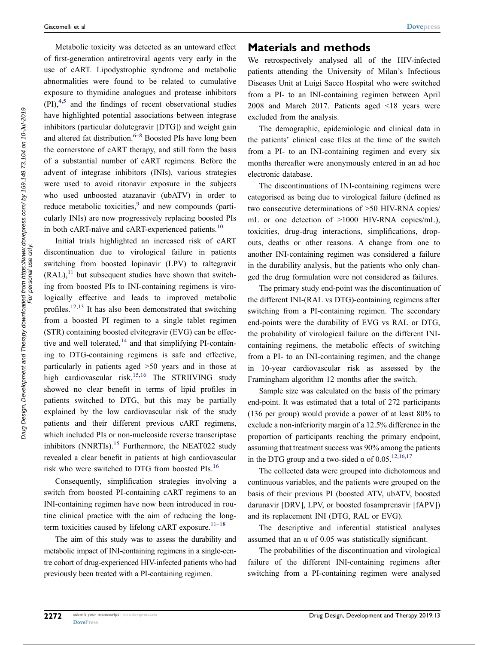<span id="page-1-1"></span><span id="page-1-0"></span>Metabolic toxicity was detected as an untoward effect of first-generation antiretroviral agents very early in the use of cART. Lipodystrophic syndrome and metabolic abnormalities were found to be related to cumulative exposure to thymidine analogues and protease inhibitors  $(PI)$ ,<sup>4,[5](#page-10-4)</sup> and the findings of recent observational studies have highlighted potential associations between integrase inhibitors (particular dolutegravir [DTG]) and weight gain and altered fat distribution. $6-8$  $6-8$  $6-8$  Boosted PIs have long been the cornerstone of cART therapy, and still form the basis of a substantial number of cART regimens. Before the advent of integrase inhibitors (INIs), various strategies were used to avoid ritonavir exposure in the subjects who used unboosted atazanavir (ubATV) in order to reduce metabolic toxicities,<sup>[9](#page-10-7)</sup> and new compounds (particularly INIs) are now progressively replacing boosted PIs in both cART-naïve and cART-experienced patients.<sup>[10](#page-10-8)</sup>

<span id="page-1-6"></span><span id="page-1-5"></span><span id="page-1-2"></span>Initial trials highlighted an increased risk of cART discontinuation due to virological failure in patients switching from boosted lopinavir (LPV) to raltegravir  $(RAL)$ ,<sup>[11](#page-10-9)</sup> but subsequent studies have shown that switching from boosted PIs to INI-containing regimens is virologically effective and leads to improved metabolic profiles.<sup>[12,](#page-10-10)[13](#page-10-11)</sup> It has also been demonstrated that switching from a boosted PI regimen to a single tablet regimen (STR) containing boosted elvitegravir (EVG) can be effective and well tolerated,  $14$  and that simplifying PI-containing to DTG-containing regimens is safe and effective, particularly in patients aged >50 years and in those at high cardiovascular risk.<sup>15,[16](#page-10-14)</sup> The STRIIVING study showed no clear benefit in terms of lipid profiles in patients switched to DTG, but this may be partially explained by the low cardiovascular risk of the study patients and their different previous cART regimens, which included PIs or non-nucleoside reverse transcriptase inhibitors (NNRTIs).<sup>[15](#page-10-13)</sup> Furthermore, the NEAT022 study revealed a clear benefit in patients at high cardiovascular risk who were switched to DTG from boosted PIs.<sup>[16](#page-10-14)</sup>

<span id="page-1-7"></span>Consequently, simplification strategies involving a switch from boosted PI-containing cART regimens to an INI-containing regimen have now been introduced in routine clinical practice with the aim of reducing the long-term toxicities caused by lifelong cART exposure.<sup>[11](#page-10-9)–[18](#page-10-15)</sup>

<span id="page-1-3"></span>The aim of this study was to assess the durability and metabolic impact of INI-containing regimens in a single-centre cohort of drug-experienced HIV-infected patients who had previously been treated with a PI-containing regimen.

#### Materials and methods

We retrospectively analysed all of the HIV-infected patients attending the University of Milan's Infectious Diseases Unit at Luigi Sacco Hospital who were switched from a PI- to an INI-containing regimen between April 2008 and March 2017. Patients aged <18 years were excluded from the analysis.

The demographic, epidemiologic and clinical data in the patients' clinical case files at the time of the switch from a PI- to an INI-containing regimen and every six months thereafter were anonymously entered in an ad hoc electronic database.

The discontinuations of INI-containing regimens were categorised as being due to virological failure (defined as two consecutive determinations of >50 HIV-RNA copies/ mL or one detection of >1000 HIV-RNA copies/mL), toxicities, drug-drug interactions, simplifications, dropouts, deaths or other reasons. A change from one to another INI-containing regimen was considered a failure in the durability analysis, but the patients who only changed the drug formulation were not considered as failures.

The primary study end-point was the discontinuation of the different INI-(RAL vs DTG)-containing regimens after switching from a PI-containing regimen. The secondary end-points were the durability of EVG vs RAL or DTG, the probability of virological failure on the different INIcontaining regimens, the metabolic effects of switching from a PI- to an INI-containing regimen, and the change in 10-year cardiovascular risk as assessed by the Framingham algorithm 12 months after the switch.

Sample size was calculated on the basis of the primary end-point. It was estimated that a total of 272 participants (136 per group) would provide a power of at least 80% to exclude a non-inferiority margin of a 12.5% difference in the proportion of participants reaching the primary endpoint, assuming that treatment success was 90% among the patients in the DTG group and a two-sided  $\alpha$  of 0.05.<sup>12[,16,](#page-10-14)[17](#page-10-16)</sup>

<span id="page-1-4"></span>The collected data were grouped into dichotomous and continuous variables, and the patients were grouped on the basis of their previous PI (boosted ATV, ubATV, boosted darunavir [DRV], LPV, or boosted fosamprenavir [fAPV]) and its replacement INI (DTG, RAL or EVG).

The descriptive and inferential statistical analyses assumed that an  $\alpha$  of 0.05 was statistically significant.

The probabilities of the discontinuation and virological failure of the different INI-containing regimens after switching from a PI-containing regimen were analysed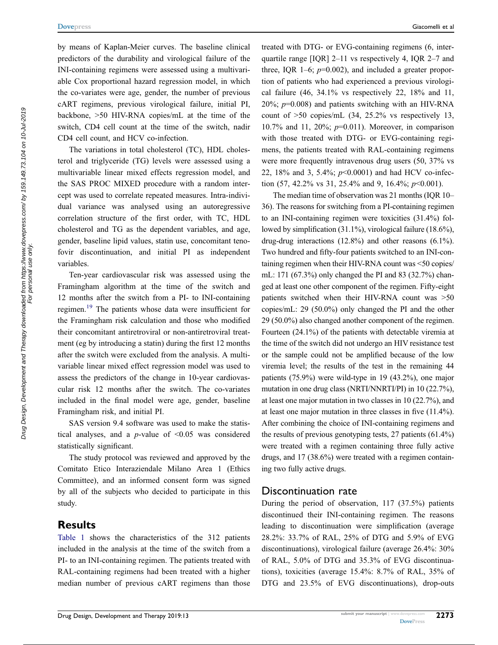by means of Kaplan-Meier curves. The baseline clinical predictors of the durability and virological failure of the INI-containing regimens were assessed using a multivariable Cox proportional hazard regression model, in which the co-variates were age, gender, the number of previous cART regimens, previous virological failure, initial PI, backbone, >50 HIV-RNA copies/mL at the time of the switch, CD4 cell count at the time of the switch, nadir CD4 cell count, and HCV co-infection.

The variations in total cholesterol (TC), HDL cholesterol and triglyceride (TG) levels were assessed using a multivariable linear mixed effects regression model, and the SAS PROC MIXED procedure with a random intercept was used to correlate repeated measures. Intra-individual variance was analysed using an autoregressive correlation structure of the first order, with TC, HDL cholesterol and TG as the dependent variables, and age, gender, baseline lipid values, statin use, concomitant tenofovir discontinuation, and initial PI as independent variables.

<span id="page-2-0"></span>Ten-year cardiovascular risk was assessed using the Framingham algorithm at the time of the switch and 12 months after the switch from a PI- to INI-containing regimen.[19](#page-10-17) The patients whose data were insufficient for the Framingham risk calculation and those who modified their concomitant antiretroviral or non-antiretroviral treatment (eg by introducing a statin) during the first 12 months after the switch were excluded from the analysis. A multivariable linear mixed effect regression model was used to assess the predictors of the change in 10-year cardiovascular risk 12 months after the switch. The co-variates included in the final model were age, gender, baseline Framingham risk, and initial PI.

SAS version 9.4 software was used to make the statistical analyses, and a  $p$ -value of <0.05 was considered statistically significant.

The study protocol was reviewed and approved by the Comitato Etico Interaziendale Milano Area 1 (Ethics Committee), and an informed consent form was signed by all of the subjects who decided to participate in this study.

#### **Results**

[Table 1](#page-3-0) shows the characteristics of the 312 patients included in the analysis at the time of the switch from a PI- to an INI-containing regimen. The patients treated with RAL-containing regimens had been treated with a higher median number of previous cART regimens than those treated with DTG- or EVG-containing regimens (6, interquartile range [IQR] 2–11 vs respectively 4, IQR 2–7 and three, IQR 1–6;  $p=0.002$ ), and included a greater proportion of patients who had experienced a previous virological failure  $(46, 34.1\%$  vs respectively 22,  $18\%$  and 11,  $20\%$ ;  $p=0.008$ ) and patients switching with an HIV-RNA count of >50 copies/mL (34, 25.2% vs respectively 13, 10.7% and 11, 20%;  $p=0.011$ ). Moreover, in comparison with those treated with DTG- or EVG-containing regimens, the patients treated with RAL-containing regimens were more frequently intravenous drug users (50, 37% vs 22, 18% and 3, 5.4%;  $p<0.0001$ ) and had HCV co-infection (57, 42.2% vs 31, 25.4% and 9, 16.4%;  $p<0.001$ ).

The median time of observation was 21 months (IQR 10– 36). The reasons for switching from a PI-containing regimen to an INI-containing regimen were toxicities (31.4%) followed by simplification (31.1%), virological failure (18.6%), drug-drug interactions (12.8%) and other reasons (6.1%). Two hundred and fifty-four patients switched to an INI-containing regimen when their HIV-RNA count was <50 copies/ mL: 171 (67.3%) only changed the PI and 83 (32.7%) changed at least one other component of the regimen. Fifty-eight patients switched when their HIV-RNA count was >50 copies/mL: 29 (50.0%) only changed the PI and the other 29 (50.0%) also changed another component of the regimen. Fourteen (24.1%) of the patients with detectable viremia at the time of the switch did not undergo an HIV resistance test or the sample could not be amplified because of the low viremia level; the results of the test in the remaining 44 patients (75.9%) were wild-type in 19 (43.2%), one major mutation in one drug class (NRTI/NNRTI/PI) in 10 (22.7%), at least one major mutation in two classes in 10 (22.7%), and at least one major mutation in three classes in five (11.4%). After combining the choice of INI-containing regimens and the results of previous genotyping tests, 27 patients (61.4%) were treated with a regimen containing three fully active drugs, and 17 (38.6%) were treated with a regimen containing two fully active drugs.

#### Discontinuation rate

During the period of observation, 117 (37.5%) patients discontinued their INI-containing regimen. The reasons leading to discontinuation were simplification (average 28.2%: 33.7% of RAL, 25% of DTG and 5.9% of EVG discontinuations), virological failure (average 26.4%: 30% of RAL, 5.0% of DTG and 35.3% of EVG discontinuations), toxicities (average 15.4%: 8.7% of RAL, 35% of DTG and 23.5% of EVG discontinuations), drop-outs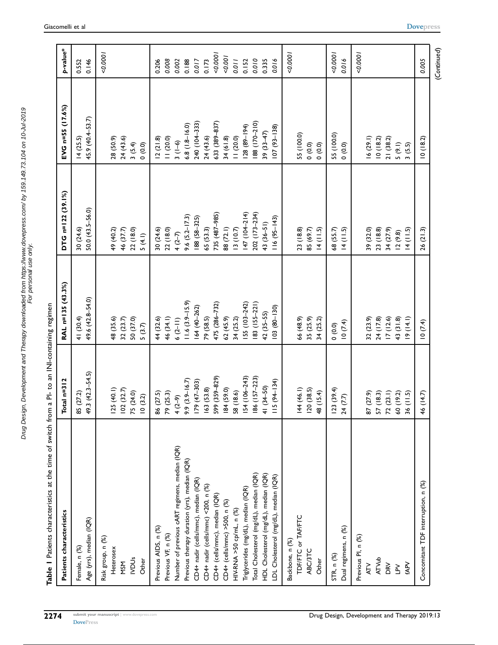| Í<br>ı<br>.<br>.<br>.<br>.<br>.<br>.<br>֖֖֖֪ׅ֪ׅ֖֖ׅ֪ׅ֪ׅ֖ׅ֪֪֪ׅ֪֪֪ׅ֚֚֚֚֚֚֚֚֚֚֚֬֝֝֬֝֝֝֬֝֓֓֬<br>;<br>and the state of the state of the state of the state of the state of the state of the state of the state of th<br>i<br>֧֧֚֜<br>į<br>Ì<br><br>I<br>í<br>١<br>j<br>í<br>١ |
|-------------------------------------------------------------------------------------------------------------------------------------------------------------------------------------------------------------------------------------------------------------------------|
|-------------------------------------------------------------------------------------------------------------------------------------------------------------------------------------------------------------------------------------------------------------------------|

<span id="page-3-0"></span>

| 49.3 (42.3–54.5)<br>Total n=312<br>125(40.1)<br>102(32.7)<br>75 (24.0)<br>86 (27.5)<br>79 (25.3)<br>85 (27.2)<br>(3.2)<br>$\subseteq$<br>Patients characteristics<br>Age (yrs), median (IQR)<br>Previous AIDS, n (%)<br>Previous VF, n (%)<br>Risk group, n (%)<br>Female, n (%)<br>Heterosex<br><b>NDUs</b><br>Other<br>MSM | RAL n=135 (43.3%)<br>49.6 (42.8-54.0)<br>32(23.7)<br>46 (34.1)<br>48 (35.6)<br>50 (37.0)<br>44 (32.6)<br>41 (30.4)<br>$6(2-11)$<br>5(3.7) | DTG n=122 (39.1%)<br>50.0 (43.5-56.0)<br>46 (37.7)<br>22(18.0)<br>49 (40.2)<br>30 (24.6)<br>5(4.1) | EVG n=55 (17.6%)<br>45.9 (40.4-53.7)<br>14(25.5)                     | p-value*<br>0.552                |
|------------------------------------------------------------------------------------------------------------------------------------------------------------------------------------------------------------------------------------------------------------------------------------------------------------------------------|-------------------------------------------------------------------------------------------------------------------------------------------|----------------------------------------------------------------------------------------------------|----------------------------------------------------------------------|----------------------------------|
|                                                                                                                                                                                                                                                                                                                              |                                                                                                                                           |                                                                                                    |                                                                      |                                  |
|                                                                                                                                                                                                                                                                                                                              |                                                                                                                                           |                                                                                                    |                                                                      | 0.146                            |
|                                                                                                                                                                                                                                                                                                                              |                                                                                                                                           |                                                                                                    | 24 (43.6)<br>28 (50.9)<br>3(5.4)<br>(0.0)                            | 0.0001                           |
| $(6-2)$<br>Number of previous cART regimens, median (IQR)                                                                                                                                                                                                                                                                    |                                                                                                                                           | 22(18.0)<br>30 (24.6)<br>$4(2-7)$                                                                  | 11(20.0)<br>12(21.8)<br>$3(1-6)$                                     | 0.008<br>0.002<br>0.206          |
| $9.9(3.9-16.7)$<br>$179(47-303)$<br>163 (53.8)<br>Previous therapy duration (yrs), median (IQR)<br>CD4+ nadir (cells/mmc), median (IQR)<br>CD4+ nadir (cells/mmc) <200, n (%)                                                                                                                                                | $11.6(3.9 - 15.9)$<br>64 (40-262)<br>79 (58.5)                                                                                            | 9.6 $(5.2 - 17.3)$<br>188 (58-325)<br>65 (53.3)                                                    | 240 (104-333)<br>$6.8(1.8 - 16.0)$<br>24(43.6)                       | 0.173<br>0.188<br>0.017          |
| 599 (359-829)<br>184 (59.0)<br>58 (18.6)<br>CD4+ (cells/mmc), median (IQR)<br>CD4+ (cells/mmc) >500, n (%)<br>HIV-RNA >50 cp/mL, n (%)                                                                                                                                                                                       | 475 (286-732)<br>62(45.9)<br>34 (25.2)                                                                                                    | 735 (487-985)<br>88 (72.1)<br>13(10.7)                                                             | 633 (389-837)<br>34(61.8)<br>11(20.0)                                | 00000<br>0.001<br>0.011          |
| I54 (106-243)<br>186 (157-223)<br>$115(94-134)$<br>$41(34-50)$<br>Total Cholesterol (mg/dL), median (IQR)<br>HDL Cholesterol (mg/dL), median (IQR)<br>LDL Cholesterol (mg/dL), median (IQR)<br>Triglycerides (mg/dL), median (IQR)                                                                                           | 83 (155-221)<br>$155(103 - 242)$<br>$(051 - 03)$ (80<br>$42(35-55)$                                                                       | $147(104-214)$<br>202 (173-234)<br>$116(95-143)$<br>$43(36 - 51)$                                  | 88 (170-210)<br>$(128 (89 - 194))$<br>$107(93 - 138)$<br>$39(33-47)$ | 0.010<br>0.335<br>0.016<br>0.152 |
| $144(46.1)$<br>120 (38.5)<br>48 (15.4)<br>TDF/FTC or TAF/FTC<br>Backbone, n (%)<br>ABC/3TC<br>Other                                                                                                                                                                                                                          | 66 (48.9)<br>35 (25.9)<br>34 (25.2)                                                                                                       | 23 (18.8)<br>85 (69.7)<br>14(11.5)                                                                 | 55 (100.0)<br>0.000<br>0(0.0)                                        | 0.0001                           |
| 123(39.4)<br>(7.7)<br>24<br>Dual regimens, n (%)<br>STR, n (%)                                                                                                                                                                                                                                                               | 10(7.4)<br>(0.0)0                                                                                                                         | 68 (55.7)<br>14(11.5)                                                                              | 55 (100.0)<br>0.000                                                  | 0.0001<br>9100                   |
| (18.3)<br>(23.1)<br>(27.9)<br>(11.5)<br>(19.2)<br>$\boldsymbol{\Sigma}$<br>$\mathcal{L}$<br>$\mathbf{S}$<br>59<br>36<br>Previous PI, n (%)<br><b>ATVub</b><br>$\overline{A}$<br>DRV<br>KAPV<br>$\geq$                                                                                                                        | 24 (17.8)<br>17 (12.6)<br>32(23.9)<br>43 (31.8)<br>(14.1)                                                                                 | 23(18.8)<br>39 (32.0)<br>34 (27.9)<br>14(11.5)<br>12(9.8)                                          | 16(29.1)<br>10(18.2)<br>21 (38.2)<br>5(9.1)<br>3(5.5)                | 0.0001                           |
| (14.7)<br>$\frac{4}{5}$<br>Concomitant TDF interruption, n (%)                                                                                                                                                                                                                                                               | 10(7.4)                                                                                                                                   | 26 (21.3)                                                                                          | 10(18.2)                                                             | (Continued)<br>0.005             |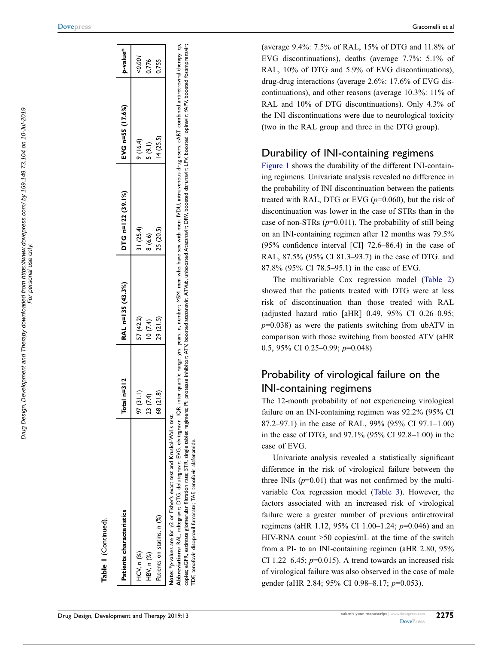| Patients characteristics                                                         | Total n=312         | RAL n=135 (43.3%)                                     | DTG n=122 (39.1%) | EVG n=55 (17.6%)                                                                                                                                                                                                                                                    | p-value* |
|----------------------------------------------------------------------------------|---------------------|-------------------------------------------------------|-------------------|---------------------------------------------------------------------------------------------------------------------------------------------------------------------------------------------------------------------------------------------------------------------|----------|
| HCV, n (%)                                                                       | $\frac{1}{3}$<br>56 | 57(42.2)                                              | 31(25.4)          | 9(16.4)                                                                                                                                                                                                                                                             | $-0.001$ |
| HBV, n (%)                                                                       | (7.4)<br>ĉ<br>₹     | 10(7.4)                                               | 8(6.6)            | 5(9.1)                                                                                                                                                                                                                                                              | 0.776    |
| Patients on statins, n (%)                                                       | 68 (21.8)           | 29(21.5)                                              | 25 (20.5)         | 14(25.5)                                                                                                                                                                                                                                                            | 0.755    |
| Note: *p-values are for $\chi$ 2 or Fisher's exact test and Kruskal-Wallis test. |                     | $\begin{bmatrix} 1 \\ 1 \\ 2 \\ 3 \\ 4 \end{bmatrix}$ |                   | $\ddot{a}$ . $\ddot{a}$ . $\ddot{a}$ . $\ddot{a}$ . $\ddot{a}$ . $\ddot{a}$ . $\ddot{a}$ . $\ddot{a}$ . $\ddot{a}$ . $\ddot{a}$ . $\ddot{a}$ . $\ddot{a}$ . $\ddot{a}$ . $\ddot{a}$ . $\ddot{a}$ . $\ddot{a}$ . $\ddot{a}$ . $\ddot{a}$ . $\ddot{a}$ . $\ddot{a}$ . |          |

Abbreviations: RAL, raltegravir; DTG, dolutegravir; FVG, elvitegravir; IQR, inter quartile range; yrs, years; n, number; MSM, men who have sex with men; NDU, intra venous drug users; cART, combined antiretroviral therapy; Abbreviations: RAL raltegravir; DTG, dolutegravir; EVG, elvitegravir; IQR, inter quartile range; yrs, years; n, number; MSM, men who have sex with men; IVDU, intra venous drug users; cART, combined antiretroviral therapy; copies; eGFR, estimate glomerular filtration rate; STR, single tablet regimens; PI, procease inhibitor; ATV, boosted Atazanavir; ADRV, boosted darunavir; LPV, boosted lopinavir; KAPV, boosted lopinavir; KAPV, boosted lopin TDF, tenofovir disoproxil fumarate; TAF, tenofovir alafenamide. TDF, tenofovir disoproxil fumarate; TAF, tenofovir alafenamide.

[Dovepress](http://www.dovepress.com) Giacomelli et al

(average 9.4%: 7.5% of RAL, 15% of DTG and 11.8% of EVG discontinuations), deaths (average 7.7%: 5.1% of RAL, 10% of DTG and 5.9% of EVG discontinuations), drug-drug interactions (average 2.6%: 17.6% of EVG discontinuations), and other reasons (average 10.3%: 11% of RAL and 10% of DTG discontinuations). Only 4.3% of the INI discontinuations were due to neurological toxicity (two in the RAL group and three in the DTG group).

## Durability of INI-containing regimens

[Figure 1](#page-5-0) shows the durability of the different INI-containing regimens. Univariate analysis revealed no difference in the probability of INI discontinuation between the patients treated with RAL, DTG or EVG  $(p=0.060)$ , but the risk of discontinuation was lower in the case of STRs than in the case of non-STRs  $(p=0.011)$ . The probability of still being on an INI-containing regimen after 12 months was 79.5% (95% confidence interval [CI] 72.6–86.4) in the case of RAL, 87.5% (95% CI 81.3–93.7) in the case of DTG. and 87.8% (95% CI 78.5–95.1) in the case of EVG.

The multivariable Cox regression model ([Table 2](#page-5-1)) showed that the patients treated with DTG were at less risk of discontinuation than those treated with RAL (adjusted hazard ratio [aHR] 0.49, 95% CI 0.26–0.95;  $p=0.038$ ) as were the patients switching from ubATV in comparison with those switching from boosted ATV (aHR 0.5, 95% CI 0.25-0.99; p=0.048)

# Probability of virological failure on the INI-containing regimens

The 12-month probability of not experiencing virological failure on an INI-containing regimen was 92.2% (95% CI 87.2–97.1) in the case of RAL, 99% (95% CI 97.1–1.00) in the case of DTG, and 97.1% (95% CI 92.8–1.00) in the case of EVG.

Univariate analysis revealed a statistically significant difference in the risk of virological failure between the three INIs  $(p=0.01)$  that was not confirmed by the multivariable Cox regression model ([Table 3\)](#page-6-0). However, the factors associated with an increased risk of virological failure were a greater number of previous antiretroviral regimens (aHR 1.12, 95% CI 1.00–1.24;  $p=0.046$ ) and an HIV-RNA count >50 copies/mL at the time of the switch from a PI- to an INI-containing regimen (aHR 2.80, 95% CI 1.22–6.45;  $p=0.015$ ). A trend towards an increased risk of virological failure was also observed in the case of male gender (aHR 2.84; 95% CI 0.98–8.17; p=0.053).

Table 1 (Continued).

Table I (Continued)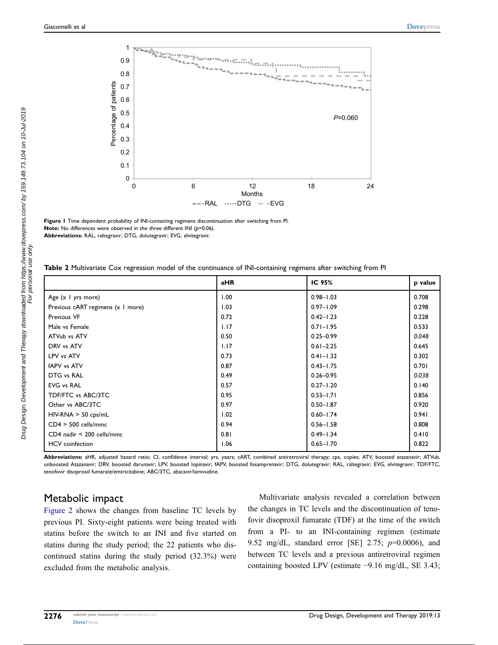<span id="page-5-0"></span>

Figure 1 Time dependent probability of INI-containing regimens discontinuation after switching from PI. Note: No differences were observed in the three different INI ( $p=0.06$ ). Abbreviations: RAL, raltegravir; DTG, dolutegravir; EVG, elvitegravir.

<span id="page-5-1"></span>

|  |  |  |  |  | Table 2 Multivariate Cox regression model of the continuance of INI-containing regimens after switching from PI |
|--|--|--|--|--|-----------------------------------------------------------------------------------------------------------------|
|--|--|--|--|--|-----------------------------------------------------------------------------------------------------------------|

|                                   | aHR  | IC 95%        | p value |
|-----------------------------------|------|---------------|---------|
| Age $(x \mid yrs \text{ more})$   | 1.00 | $0.98 - 1.03$ | 0.708   |
| Previous cART regimens (x 1 more) | 1.03 | $0.97 - 1.09$ | 0.298   |
| Previous VF                       | 0.72 | $0.42 - 1.23$ | 0.228   |
| Male vs Female                    | 1.17 | $0.71 - 1.95$ | 0.533   |
| ATVub vs ATV                      | 0.50 | $0.25 - 0.99$ | 0.048   |
| DRV vs ATV                        | 1.17 | $0.61 - 2.25$ | 0.645   |
| LPV vs ATV                        | 0.73 | $0.41 - 1.32$ | 0.302   |
| fAPV vs ATV                       | 0.87 | $0.43 - 1.75$ | 0.701   |
| DTG vs RAL                        | 0.49 | $0.26 - 0.95$ | 0.038   |
| <b>EVG vs RAL</b>                 | 0.57 | $0.27 - 1.20$ | 0.140   |
| TDF/FTC vs ABC/3TC                | 0.95 | $0.53 - 1.71$ | 0.856   |
| Other vs ABC/3TC                  | 0.97 | $0.50 - 1.87$ | 0.920   |
| $HIV-RNA > 50$ cps/mL             | 1.02 | $0.60 - 1.74$ | 0.941   |
| $CD4 > 500$ cells/mmc             | 0.94 | $0.56 - 1.58$ | 0.808   |
| CD4 nadir < 200 cells/mmc         | 0.81 | $0.49 - 1.34$ | 0.410   |
| <b>HCV</b> coinfection            | 1.06 | $0.65 - 1.70$ | 0.822   |

Abbreviations: aHR, adjusted hazard ratio; CI, confidence interval; yrs, years; cART, combined antiretroviral therapy; cps, copies; ATV, boosted atazanavir; ATVub, unboosted Atazanavir; DRV, boosted darunavir; LPV, boosted lopinavir; fAPV, boosted fosamprenavir; DTG, dolutegravir; RAL, raltegravir; EVG, elvitegravir; TDF/FTC, tenofovir disoproxil fumarate/emtricitabine; ABC/3TC, abacavir/lamivudine.

#### Metabolic impact

[Figure 2](#page-7-0) shows the changes from baseline TC levels by previous PI. Sixty-eight patients were being treated with statins before the switch to an INI and five started on statins during the study period; the 22 patients who discontinued statins during the study period (32.3%) were excluded from the metabolic analysis.

Multivariate analysis revealed a correlation between the changes in TC levels and the discontinuation of tenofovir disoproxil fumarate (TDF) at the time of the switch from a PI- to an INI-containing regimen (estimate 9.52 mg/dL, standard error [SE] 2.75;  $p=0.0006$ ), and between TC levels and a previous antiretroviral regimen containing boosted LPV (estimate −9.16 mg/dL, SE 3.43;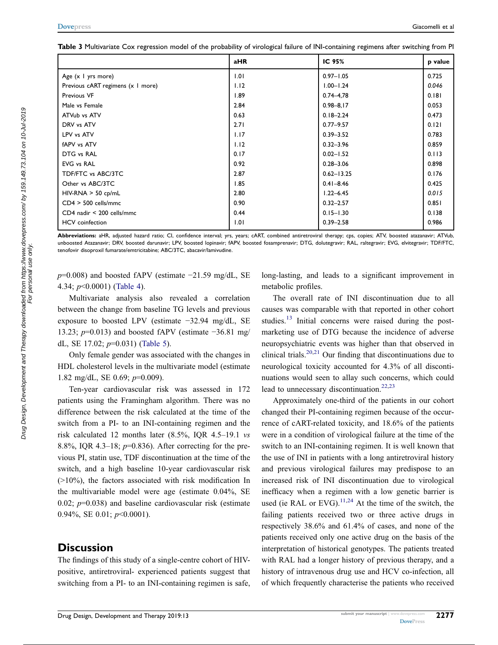|                                   | aHR  | IC 95%         | p value |
|-----------------------------------|------|----------------|---------|
| Age $(x \mid yrs \text{ more})$   | 1.01 | $0.97 - 1.05$  | 0.725   |
| Previous cART regimens (x 1 more) | 1.12 | $1.00 - 1.24$  | 0.046   |
| Previous VF                       | 1.89 | $0.74 - 4.78$  | 0.181   |
| Male vs Female                    | 2.84 | $0.98 - 8.17$  | 0.053   |
| ATVub vs ATV                      | 0.63 | $0.18 - 2.24$  | 0.473   |
| DRV vs ATV                        | 2.71 | $0.77 - 9.57$  | 0.121   |
| LPV vs ATV                        | 1.17 | $0.39 - 3.52$  | 0.783   |
| fAPV vs ATV                       | 1.12 | $0.32 - 3.96$  | 0.859   |
| DTG vs RAL                        | 0.17 | $0.02 - 1.52$  | 0.113   |
| <b>EVG vs RAL</b>                 | 0.92 | $0.28 - 3.06$  | 0.898   |
| TDF/FTC vs ABC/3TC                | 2.87 | $0.62 - 13.25$ | 0.176   |
| Other vs ABC/3TC                  | 1.85 | $0.41 - 8.46$  | 0.425   |
| $HIV-RNA > 50$ cp/mL              | 2.80 | $1.22 - 6.45$  | 0.015   |
| $CD4 > 500$ cells/mmc             | 0.90 | $0.32 - 2.57$  | 0.851   |
| $CD4$ nadir $\leq 200$ cells/mmc  | 0.44 | $0.15 - 1.30$  | 0.138   |
| HCV coinfection                   | 1.01 | $0.39 - 2.58$  | 0.986   |

<span id="page-6-0"></span>Table 3 Multivariate Cox regression model of the probability of virological failure of INI-containing regimens after switching from PI

Abbreviations: aHR, adjusted hazard ratio; CI, confidence interval; yrs, years; cART, combined antiretroviral therapy; cps, copies; ATV, boosted atazanavir; ATVub, unboosted Atazanavir; DRV, boosted darunavir; LPV, boosted lopinavir; fAPV, boosted fosamprenavir; DTG, dolutegravir; RAL, raltegravir; EVG, elvitegravir; TDF/FTC, tenofovir disoproxil fumarate/emtricitabine; ABC/3TC, abacavir/lamivudine.

 $p=0.008$ ) and boosted fAPV (estimate −21.59 mg/dL, SE 4.34; p<0.0001) ([Table 4](#page-7-1)).

Multivariate analysis also revealed a correlation between the change from baseline TG levels and previous exposure to boosted LPV (estimate −32.94 mg/dL, SE 13.23; p=0.013) and boosted fAPV (estimate −36.81 mg/ dL, SE 17.02;  $p=0.031$ ) ([Table 5](#page-8-0)).

Only female gender was associated with the changes in HDL cholesterol levels in the multivariate model (estimate 1.82 mg/dL, SE 0.69;  $p=0.009$ ).

Ten-year cardiovascular risk was assessed in 172 patients using the Framingham algorithm. There was no difference between the risk calculated at the time of the switch from a PI- to an INI-containing regimen and the risk calculated 12 months later (8.5%, IQR 4.5–19.1 vs 8.8%, IQR 4.3–18;  $p=0.836$ ). After correcting for the previous PI, statin use, TDF discontinuation at the time of the switch, and a high baseline 10-year cardiovascular risk (>10%), the factors associated with risk modification In the multivariable model were age (estimate 0.04%, SE 0.02;  $p=0.038$ ) and baseline cardiovascular risk (estimate 0.94%, SE 0.01;  $p<0.0001$ ).

## **Discussion**

The findings of this study of a single-centre cohort of HIVpositive, antiretroviral- experienced patients suggest that switching from a PI- to an INI-containing regimen is safe, long-lasting, and leads to a significant improvement in metabolic profiles.

The overall rate of INI discontinuation due to all causes was comparable with that reported in other cohort studies.<sup>[13](#page-10-11)</sup> Initial concerns were raised during the postmarketing use of DTG because the incidence of adverse neuropsychiatric events was higher than that observed in clinical trials.<sup>[20](#page-10-18)[,21](#page-10-19)</sup> Our finding that discontinuations due to neurological toxicity accounted for 4.3% of all discontinuations would seen to allay such concerns, which could lead to unnecessary discontinuation.<sup>[22,](#page-10-20)[23](#page-10-21)</sup>

<span id="page-6-3"></span><span id="page-6-2"></span><span id="page-6-1"></span>Approximately one-third of the patients in our cohort changed their PI-containing regimen because of the occurrence of cART-related toxicity, and 18.6% of the patients were in a condition of virological failure at the time of the switch to an INI-containing regimen. It is well known that the use of INI in patients with a long antiretroviral history and previous virological failures may predispose to an increased risk of INI discontinuation due to virological inefficacy when a regimen with a low genetic barrier is used (ie RAL or EVG). $11,24$  $11,24$  At the time of the switch, the failing patients received two or three active drugs in respectively 38.6% and 61.4% of cases, and none of the patients received only one active drug on the basis of the interpretation of historical genotypes. The patients treated with RAL had a longer history of previous therapy, and a history of intravenous drug use and HCV co-infection, all of which frequently characterise the patients who received

For personal use only.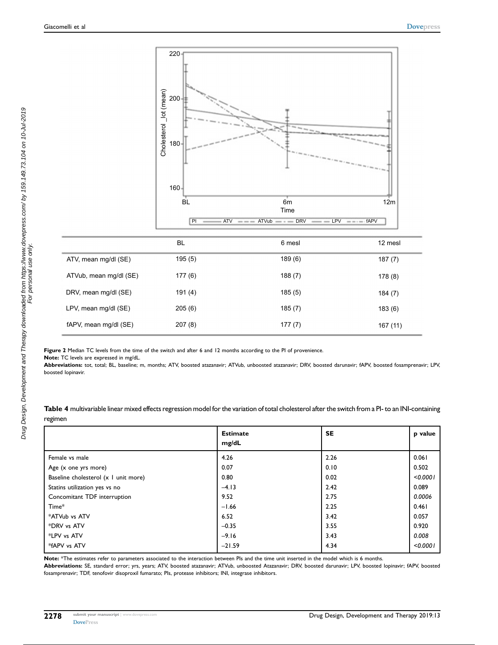<span id="page-7-0"></span>

|                        | BL      | 6 mesl | 12 mesl |
|------------------------|---------|--------|---------|
| ATV, mean mg/dl (SE)   | 195(5)  | 189(6) | 187 (7) |
| ATVub, mean mg/dl (SE) | 177 (6) | 188(7) | 178 (8) |
| DRV, mean mg/dl (SE)   | 191(4)  | 185(5) | 184 (7) |
| LPV, mean mg/dl (SE)   | 205(6)  | 185(7) | 183(6)  |
| fAPV, mean mg/dl (SE)  | 207(8)  | 177(7) | 167(11) |

Figure 2 Median TC levels from the time of the switch and after 6 and 12 months according to the PI of provenience.

Note: TC levels are expressed in mg/dL.

Abbreviations: tot, total; BL, baseline; m, months; ATV, boosted atazanavir; ATVub, unboosted atazanavir; DRV, boosted darunavir; fAPV, boosted fosamprenavir; LPV, boosted lopinavir.

<span id="page-7-1"></span>

| Table 4 multivariable linear mixed effects regression model for the variation of total cholesterol after the switch from a PI- to an INI-containing |  |
|-----------------------------------------------------------------------------------------------------------------------------------------------------|--|
| regimen                                                                                                                                             |  |

|                                      | <b>Estimate</b><br>mg/dL | <b>SE</b> | p value  |
|--------------------------------------|--------------------------|-----------|----------|
| Female vs male                       | 4.26                     | 2.26      | 0.061    |
| Age (x one yrs more)                 | 0.07                     | 0.10      | 0.502    |
| Baseline cholesterol (x 1 unit more) | 0.80                     | 0.02      | < 0.0001 |
| Statins utilization yes vs no        | $-4.13$                  | 2.42      | 0.089    |
| Concomitant TDF interruption         | 9.52                     | 2.75      | 0.0006   |
| Time*                                | $-1.66$                  | 2.25      | 0.461    |
| *ATVub vs ATV                        | 6.52                     | 3.42      | 0.057    |
| *DRV vs ATV                          | $-0.35$                  | 3.55      | 0.920    |
| *LPV vs ATV                          | $-9.16$                  | 3.43      | 0.008    |
| *fAPV vs ATV                         | $-21.59$                 | 4.34      | <0.0001  |

Note: \*The estimates refer to parameters associated to the interaction between PIs and the time unit inserted in the model which is 6 months.

Abbreviations: SE, standard error; yrs, years; ATV, boosted atazanavir; ATVub, unboosted Atazanavir; DRV, boosted darunavir; LPV, boosted lopinavir; fAPV, boosted fosamprenavir; TDF, tenofovir disoproxil fumarato; PIs, protease inhibitors; INI, integrase inhibitors.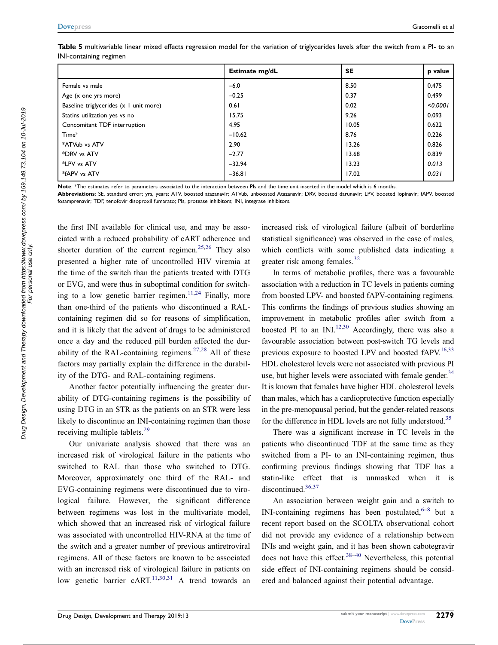|                                        | Estimate mg/dL | <b>SE</b> | p value |
|----------------------------------------|----------------|-----------|---------|
| Female vs male                         | $-6.0$         | 8.50      | 0.475   |
| Age (x one yrs more)                   | $-0.25$        | 0.37      | 0.499   |
| Baseline triglycerides (x 1 unit more) | 0.61           | 0.02      | <0.0001 |
| Statins utilization yes vs no          | 15.75          | 9.26      | 0.093   |
| Concomitant TDF interruption           | 4.95           | 10.05     | 0.622   |
| Time*                                  | $-10.62$       | 8.76      | 0.226   |
| *ATVub vs ATV                          | 2.90           | 13.26     | 0.826   |
| *DRV vs ATV                            | $-2.77$        | 13.68     | 0.839   |
| *LPV vs ATV                            | $-32.94$       | 13.23     | 0.013   |
| *fAPV vs ATV                           | $-36.81$       | 17.02     | 0.031   |
|                                        |                |           |         |

<span id="page-8-0"></span>Table 5 multivariable linear mixed effects regression model for the variation of triglycerides levels after the switch from a PI- to an INI-containing regimen

Note: \*The estimates refer to parameters associated to the interaction between PIs and the time unit inserted in the model which is 6 months.

Abbreviations: SE, standard error; yrs, years; ATV, boosted atazanavir; ATVub, unboosted Atazanavir; DRV, boosted darunavir; LPV, boosted lopinavir; fAPV, boosted fosamprenavir; TDF, tenofovir disoproxil fumarato; PIs, protease inhibitors; INI, integrase inhibitors.

<span id="page-8-1"></span>the first INI available for clinical use, and may be associated with a reduced probability of cART adherence and shorter duration of the current regimen.<sup>[25,](#page-11-1)[26](#page-11-2)</sup> They also presented a higher rate of uncontrolled HIV viremia at the time of the switch than the patients treated with DTG or EVG, and were thus in suboptimal condition for switch-ing to a low genetic barrier regimen.<sup>[11,](#page-10-9)[24](#page-11-0)</sup> Finally, more than one-third of the patients who discontinued a RALcontaining regimen did so for reasons of simplification, and it is likely that the advent of drugs to be administered once a day and the reduced pill burden affected the dur-ability of the RAL-containing regimens.<sup>27,[28](#page-11-4)</sup> All of these factors may partially explain the difference in the durability of the DTG- and RAL-containing regimens.

<span id="page-8-2"></span>Another factor potentially influencing the greater durability of DTG-containing regimens is the possibility of using DTG in an STR as the patients on an STR were less likely to discontinue an INI-containing regimen than those receiving multiple tablets.<sup>[29](#page-11-5)</sup>

<span id="page-8-5"></span><span id="page-8-3"></span>Our univariate analysis showed that there was an increased risk of virological failure in the patients who switched to RAL than those who switched to DTG. Moreover, approximately one third of the RAL- and EVG-containing regimens were discontinued due to virological failure. However, the significant difference between regimens was lost in the multivariate model, which showed that an increased risk of virlogical failure was associated with uncontrolled HIV-RNA at the time of the switch and a greater number of previous antiretroviral regimens. All of these factors are known to be associated with an increased risk of virological failure in patients on low genetic barrier  $cART$ .<sup>[11](#page-10-9),[30](#page-11-6)[,31](#page-11-7)</sup> A trend towards an

increased risk of virological failure (albeit of borderline statistical significance) was observed in the case of males, which conflicts with some published data indicating a greater risk among females.<sup>[32](#page-11-8)</sup>

<span id="page-8-7"></span><span id="page-8-6"></span><span id="page-8-4"></span>In terms of metabolic profiles, there was a favourable association with a reduction in TC levels in patients coming from boosted LPV- and boosted fAPV-containing regimens. This confirms the findings of previous studies showing an improvement in metabolic profiles after switch from a boosted PI to an INI.<sup>[12,](#page-10-10)[30](#page-11-6)</sup> Accordingly, there was also a favourable association between post-switch TG levels and previous exposure to boosted LPV and boosted fAPV.<sup>16[,33](#page-11-9)</sup> HDL cholesterol levels were not associated with previous PI use, but higher levels were associated with female gender.<sup>34</sup> It is known that females have higher HDL cholesterol levels than males, which has a cardioprotective function especially in the pre-menopausal period, but the gender-related reasons for the difference in HDL levels are not fully understood.<sup>35</sup>

<span id="page-8-9"></span><span id="page-8-8"></span>There was a significant increase in TC levels in the patients who discontinued TDF at the same time as they switched from a PI- to an INI-containing regimen, thus confirming previous findings showing that TDF has a statin-like effect that is unmasked when it is discontinued.<sup>[36,](#page-11-12)[37](#page-11-13)</sup>

<span id="page-8-11"></span><span id="page-8-10"></span>An association between weight gain and a switch to INI-containing regimens has been postulated,  $6-8$  $6-8$  $6-8$  but a recent report based on the SCOLTA observational cohort did not provide any evidence of a relationship between INIs and weight gain, and it has been shown cabotegravir does not have this effect. $38-40$  $38-40$  $38-40$  Nevertheless, this potential side effect of INI-containing regimens should be considered and balanced against their potential advantage.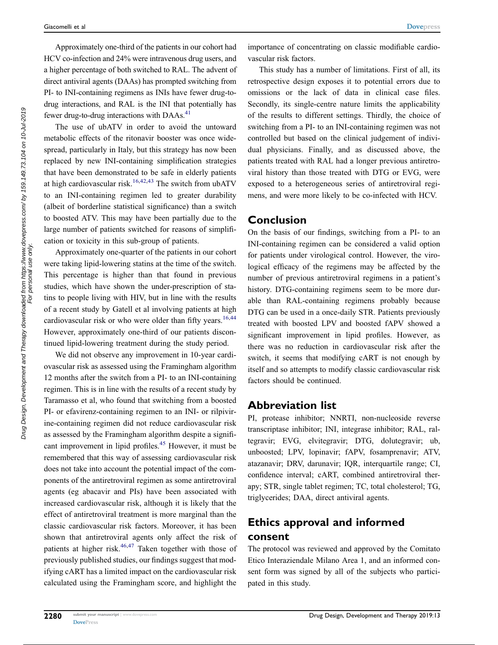Approximately one-third of the patients in our cohort had HCV co-infection and 24% were intravenous drug users, and a higher percentage of both switched to RAL. The advent of direct antiviral agents (DAAs) has prompted switching from PI- to INI-containing regimens as INIs have fewer drug-todrug interactions, and RAL is the INI that potentially has fewer drug-to-drug interactions with DAAs.<sup>41</sup>

<span id="page-9-1"></span><span id="page-9-0"></span>The use of ubATV in order to avoid the untoward metabolic effects of the ritonavir booster was once widespread, particularly in Italy, but this strategy has now been replaced by new INI-containing simplification strategies that have been demonstrated to be safe in elderly patients at high cardiovascular risk.<sup>[16](#page-10-14)[,42,](#page-11-17)[43](#page-11-18)</sup> The switch from ubATV to an INI-containing regimen led to greater durability (albeit of borderline statistical significance) than a switch to boosted ATV. This may have been partially due to the large number of patients switched for reasons of simplification or toxicity in this sub-group of patients.

Approximately one-quarter of the patients in our cohort were taking lipid-lowering statins at the time of the switch. This percentage is higher than that found in previous studies, which have shown the under-prescription of statins to people living with HIV, but in line with the results of a recent study by Gatell et al involving patients at high cardiovascular risk or who were older than fifty years.<sup>[16](#page-10-14)[,44](#page-11-19)</sup> However, approximately one-third of our patients discontinued lipid-lowering treatment during the study period.

<span id="page-9-4"></span><span id="page-9-3"></span><span id="page-9-2"></span>We did not observe any improvement in 10-year cardiovascular risk as assessed using the Framingham algorithm 12 months after the switch from a PI- to an INI-containing regimen. This is in line with the results of a recent study by Taramasso et al, who found that switching from a boosted PI- or efavirenz-containing regimen to an INI- or rilpivirine-containing regimen did not reduce cardiovascular risk as assessed by the Framingham algorithm despite a signifi-cant improvement in lipid profiles.<sup>[45](#page-11-20)</sup> However, it must be remembered that this way of assessing cardiovascular risk does not take into account the potential impact of the components of the antiretroviral regimen as some antiretroviral agents (eg abacavir and PIs) have been associated with increased cardiovascular risk, although it is likely that the effect of antiretroviral treatment is more marginal than the classic cardiovascular risk factors. Moreover, it has been shown that antiretroviral agents only affect the risk of patients at higher risk.<sup>46,[47](#page-11-22)</sup> Taken together with those of previously published studies, our findings suggest that modifying cART has a limited impact on the cardiovascular risk calculated using the Framingham score, and highlight the importance of concentrating on classic modifiable cardiovascular risk factors.

This study has a number of limitations. First of all, its retrospective design exposes it to potential errors due to omissions or the lack of data in clinical case files. Secondly, its single-centre nature limits the applicability of the results to different settings. Thirdly, the choice of switching from a PI- to an INI-containing regimen was not controlled but based on the clinical judgement of individual physicians. Finally, and as discussed above, the patients treated with RAL had a longer previous antiretroviral history than those treated with DTG or EVG, were exposed to a heterogeneous series of antiretroviral regimens, and were more likely to be co-infected with HCV.

#### Conclusion

On the basis of our findings, switching from a PI- to an INI-containing regimen can be considered a valid option for patients under virological control. However, the virological efficacy of the regimens may be affected by the number of previous antiretroviral regimens in a patient's history. DTG-containing regimens seem to be more durable than RAL-containing regimens probably because DTG can be used in a once-daily STR. Patients previously treated with boosted LPV and boosted fAPV showed a significant improvement in lipid profiles. However, as there was no reduction in cardiovascular risk after the switch, it seems that modifying cART is not enough by itself and so attempts to modify classic cardiovascular risk factors should be continued.

#### Abbreviation list

PI, protease inhibitor; NNRTI, non-nucleoside reverse transcriptase inhibitor; INI, integrase inhibitor; RAL, raltegravir; EVG, elvitegravir; DTG, dolutegravir; ub, unboosted; LPV, lopinavir; fAPV, fosamprenavir; ATV, atazanavir; DRV, darunavir; IQR, interquartile range; CI, confidence interval; cART, combined antiretroviral therapy; STR, single tablet regimen; TC, total cholesterol; TG, triglycerides; DAA, direct antiviral agents.

# Ethics approval and informed consent

The protocol was reviewed and approved by the Comitato Etico Interaziendale Milano Area 1, and an informed consent form was signed by all of the subjects who participated in this study.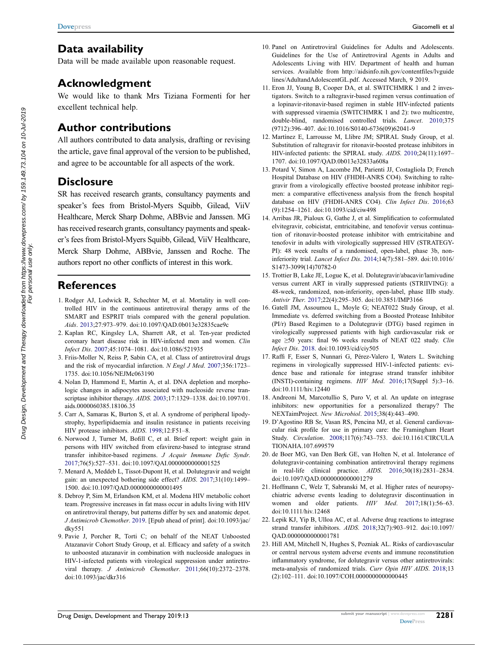## Data availability

Data will be made available upon reasonable request.

## Acknowledgment

We would like to thank Mrs Tiziana Formenti for her excellent technical help.

## Author contributions

All authors contributed to data analysis, drafting or revising the article, gave final approval of the version to be published, and agree to be accountable for all aspects of the work.

#### **Disclosure**

SR has received research grants, consultancy payments and speaker's fees from Bristol-Myers Squibb, Gilead, ViiV Healthcare, Merck Sharp Dohme, ABBvie and Janssen. MG has received research grants, consultancy payments and speaker's fees from Bristol-Myers Squibb, Gilead, ViiV Healthcare, Merck Sharp Dohme, ABBvie, Janssen and Roche. The authors report no other conflicts of interest in this work.

## **References**

- <span id="page-10-0"></span>1. Rodger AJ, Lodwick R, Schechter M, et al. Mortality in well controlled HIV in the continuous antiretroviral therapy arms of the SMART and ESPRIT trials compared with the general population. Aids. [2013;](#page-0-0)27:973–979. doi:[10.1097/QAD.0b013e32835cae9c](https://doi.org/10.1097/QAD.0b013e32835cae9c)
- <span id="page-10-1"></span>2. Kaplan RC, Kingsley LA, Sharrett AR, et al. Ten-year predicted coronary heart disease risk in HIV-infected men and women. Clin Infect Dis. [2007](#page-0-1);45:1074–1081. doi:[10.1086/521935](https://doi.org/10.1086/521935)
- <span id="page-10-2"></span>3. Friis-Moller N, Reiss P, Sabin CA, et al. Class of antiretroviral drugs and the risk of myocardial infarction. N Engl J Med. [2007](#page-0-1);356:1723– 1735. doi:[10.1056/NEJMc063190](https://doi.org/10.1056/NEJMc063190)
- <span id="page-10-3"></span>4. Nolan D, Hammond E, Martin A, et al. DNA depletion and morphologic changes in adipocytes associated with nucleoside reverse transcriptase inhibitor therapy. AIDS. [2003](#page-1-0);17:1329–1338. doi:[10.1097/01.](https://doi.org/10.1097/01.aids.0000060385.18106.35) [aids.0000060385.18106.35](https://doi.org/10.1097/01.aids.0000060385.18106.35)
- <span id="page-10-4"></span>5. Carr A, Samaras K, Burton S, et al. A syndrome of peripheral lipodystrophy, hyperlipidaemia and insulin resistance in patients receiving HIV protease inhibitors. AIDS. [1998](#page-1-0);12:F51–8.
- <span id="page-10-5"></span>6. Norwood J, Turner M, Bofill C, et al. Brief report: weight gain in persons with HIV switched from efavirenz-based to integrase strand transfer inhibitor-based regimens. J Acquir Immune Defic Syndr. [2017;](#page-1-1)76(5):527–531. doi:[10.1097/QAI.0000000000001525](https://doi.org/10.1097/QAI.0000000000001525)
- 7. Menard A, Meddeb L, Tissot-Dupont H, et al. Dolutegravir and weight gain: an unexpected bothering side effect? AIDS. 2017;31(10):1499– 1500. doi:[10.1097/QAD.0000000000001495](https://doi.org/10.1097/QAD.0000000000001495)
- <span id="page-10-6"></span>8. Debroy P, Sim M, Erlandson KM, et al. Modena HIV metabolic cohort team. Progressive increases in fat mass occur in adults living with HIV on antiretroviral therapy, but patterns differ by sex and anatomic depot. J Antimicrob Chemother. [2019](#page-1-1). [Epub ahead of print]. doi:[10.1093/jac/](https://doi.org/10.1093/jac/dky551) [dky551](https://doi.org/10.1093/jac/dky551)
- <span id="page-10-7"></span>9. Pavie J, Porcher R, Torti C; on behalf of the NEAT Unboosted Atazanavir Cohort Study Group, et al. Efficacy and safety of a switch to unboosted atazanavir in combination with nucleoside analogues in HIV-1-infected patients with virological suppression under antiretroviral therapy. J Antimicrob Chemother. [2011;](#page-1-2)66(10):2372–2378. doi:[10.1093/jac/dkr316](https://doi.org/10.1093/jac/dkr316)
- <span id="page-10-8"></span>10. Panel on Antiretroviral Guidelines for Adults and Adolescents. Guidelines for the Use of Antiretroviral Agents in Adults and Adolescents Living with HIV. Department of health and human services. Available from [http://aidsinfo.nih.gov/content](http://aidsinfo.nih.gov/contentfiles/lvguidelines/AdultandAdolescentGL.pdf)files/lvguide [lines/AdultandAdolescentGL.pdf.](http://aidsinfo.nih.gov/contentfiles/lvguidelines/AdultandAdolescentGL.pdf) Accessed March, 9 2019.
- <span id="page-10-9"></span>11. Eron JJ, Young B, Cooper DA, et al. SWITCHMRK 1 and 2 investigators. Switch to a raltegravir-based regimen versus continuation of a lopinavir-ritonavir-based regimen in stable HIV-infected patients with suppressed viraemia (SWITCHMRK 1 and 2): two multicentre, double-blind, randomised controlled trials. Lancet. [2010](#page-1-3);375 (9712):396–407. doi:[10.1016/S0140-6736\(09\)62041-9](https://doi.org/10.1016/S0140-6736(09)62041-9)
- <span id="page-10-10"></span>12. Martínez E, Larrousse M, Llibre JM; SPIRAL Study Group, et al. Substitution of raltegravir for ritonavir-boosted protease inhibitors in HIV-infected patients: the SPIRAL study. AIDS. [2010;](#page-1-4)24(11):1697– 1707. doi:[10.1097/QAD.0b013e32833a608a](https://doi.org/10.1097/QAD.0b013e32833a608a)
- <span id="page-10-11"></span>13. Potard V, Simon A, Lacombe JM, Parienti JJ, Costagliola D; French Hospital Database on HIV (FHDH-ANRS CO4). Switching to raltegravir from a virologically effective boosted protease inhibitor regimen: a comparative effectiveness analysis from the french hospital database on HIV (FHDH-ANRS CO4). Clin Infect Dis. [2016](#page-1-5);63 (9):1254–1261. doi:[10.1093/cid/ciw498](https://doi.org/10.1093/cid/ciw498)
- <span id="page-10-12"></span>14. Arribas JR, Pialoux G, Gathe J, et al. Simplification to coformulated elvitegravir, cobicistat, emtricitabine, and tenofovir versus continuation of ritonavir-boosted protease inhibitor with emtricitabine and tenofovir in adults with virologically suppressed HIV (STRATEGY-PI): 48 week results of a randomised, open-label, phase 3b, noninferiority trial. Lancet Infect Dis. [2014](#page-1-6);14(7):581–589. doi:[10.1016/](https://doi.org/10.1016/S1473-3099(14)70782-0) [S1473-3099\(14\)70782-0](https://doi.org/10.1016/S1473-3099(14)70782-0)
- <span id="page-10-13"></span>15. Trottier B, Lake JE, Logue K, et al. Dolutegravir/abacavir/lamivudine versus current ART in virally suppressed patients (STRIIVING): a 48-week, randomized, non-inferiority, open-label, phase IIIb study. Antivir Ther. [2017;](#page-1-7)22(4):295–305. doi:[10.3851/IMP3166](https://doi.org/10.3851/IMP3166)
- <span id="page-10-14"></span>16. Gatell JM, Assoumou L, Moyle G; NEAT022 Study Group, et al. Immediate vs. deferred switching from a Boosted Protease Inhibitor (PI/r) Based Regimen to a Dolutegravir (DTG) based regimen in virologically suppressed patients with high cardiovascular risk or age ≥50 years: final 96 weeks results of NEAT 022 study. Clin Infect Dis. [2018.](#page-1-4) doi:[10.1093/cid/ciy505](https://doi.org/10.1093/cid/ciy505)
- <span id="page-10-16"></span>17. Raffi F, Esser S, Nunnari G, Pérez-Valero I, Waters L. Switching regimens in virologically suppressed HIV-1-infected patients: evidence base and rationale for integrase strand transfer inhibitor (INSTI)-containing regimens. HIV Med. [2016;](#page-1-4)17(Suppl 5):3–16. doi:[10.1111/hiv.12440](https://doi.org/10.1111/hiv.12440)
- <span id="page-10-15"></span>18. Andreoni M, Marcotullio S, Puro V, et al. An update on integrase inhibitors: new opportunities for a personalized therapy? The NEXTaimProject. New Microbiol. [2015;](#page-1-3)38(4):443–490.
- <span id="page-10-17"></span>19. D'Agostino RB Sr, Vasan RS, Pencina MJ, et al. General cardiovascular risk profile for use in primary care: the Framingham Heart Study. Circulation. [2008](#page-2-0);117(6):743–753. doi:[10.1161/CIRCULA](https://doi.org/10.1161/CIRCULATIONAHA.107.699579) [TIONAHA.107.699579](https://doi.org/10.1161/CIRCULATIONAHA.107.699579)
- <span id="page-10-18"></span>20. de Boer MG, van Den Berk GE, van Holten N, et al. Intolerance of dolutegravir-containing combination antiretroviral therapy regimens in real-life clinical practice. AIDS. [2016;](#page-6-1)30(18):2831–2834. doi:[10.1097/QAD.0000000000001279](https://doi.org/10.1097/QAD.0000000000001279)
- <span id="page-10-19"></span>21. Hoffmann C, Welz T, Sabranski M, et al. Higher rates of neuropsychiatric adverse events leading to dolutegravir discontinuation in women and older patients. HIV Med. [2017;](#page-6-1)18(1):56-63. doi:[10.1111/hiv.12468](https://doi.org/10.1111/hiv.12468)
- <span id="page-10-20"></span>22. Lepik KJ, Yip B, Ulloa AC, et al. Adverse drug reactions to integrase strand transfer inhibitors. AIDS. [2018](#page-6-2);32(7):903–912. doi:[10.1097/](https://doi.org/10.1097/QAD.0000000000001781) [QAD.0000000000001781](https://doi.org/10.1097/QAD.0000000000001781)
- <span id="page-10-21"></span>23. Hill AM, Mitchell N, Hughes S, Pozniak AL. Risks of cardiovascular or central nervous system adverse events and immune reconstitution inflammatory syndrome, for dolutegravir versus other antiretrovirals: meta-analysis of randomized trials. Curr Opin HIV AIDS. [2018](#page-6-2);13 (2):102–111. doi:[10.1097/COH.0000000000000445](https://doi.org/10.1097/COH.0000000000000445)